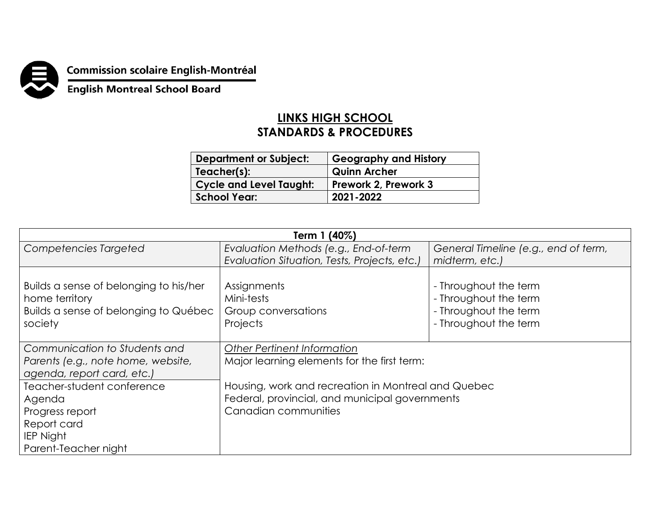

## **Commission scolaire English-Montréal<br>English Montreal School Board**

## **LINKS HIGH SCHOOL STANDARDS & PROCEDURES**

| <b>Department or Subject:</b>  | <b>Geography and History</b> |
|--------------------------------|------------------------------|
| Teacher(s):                    | <b>Quinn Archer</b>          |
| <b>Cycle and Level Taught:</b> | Prework 2, Prework 3         |
| <b>School Year:</b>            | 2021-2022                    |

| Term 1 (40%)                                                                                                       |                                                                                                                               |                                                                                                  |  |
|--------------------------------------------------------------------------------------------------------------------|-------------------------------------------------------------------------------------------------------------------------------|--------------------------------------------------------------------------------------------------|--|
| Competencies Targeted                                                                                              | Evaluation Methods (e.g., End-of-term                                                                                         | General Timeline (e.g., end of term,                                                             |  |
|                                                                                                                    | Evaluation Situation, Tests, Projects, etc.)                                                                                  | midterm, etc.)                                                                                   |  |
| Builds a sense of belonging to his/her<br>home territory<br>Builds a sense of belonging to Québec<br>society       | Assignments<br>Mini-tests<br>Group conversations<br>Projects                                                                  | - Throughout the term<br>- Throughout the term<br>- Throughout the term<br>- Throughout the term |  |
| Communication to Students and<br>Parents (e.g., note home, website,<br>agenda, report card, etc.)                  | <b>Other Pertinent Information</b><br>Major learning elements for the first term:                                             |                                                                                                  |  |
| Teacher-student conference<br>Agenda<br>Progress report<br>Report card<br><b>IEP Night</b><br>Parent-Teacher night | Housing, work and recreation in Montreal and Quebec<br>Federal, provincial, and municipal governments<br>Canadian communities |                                                                                                  |  |